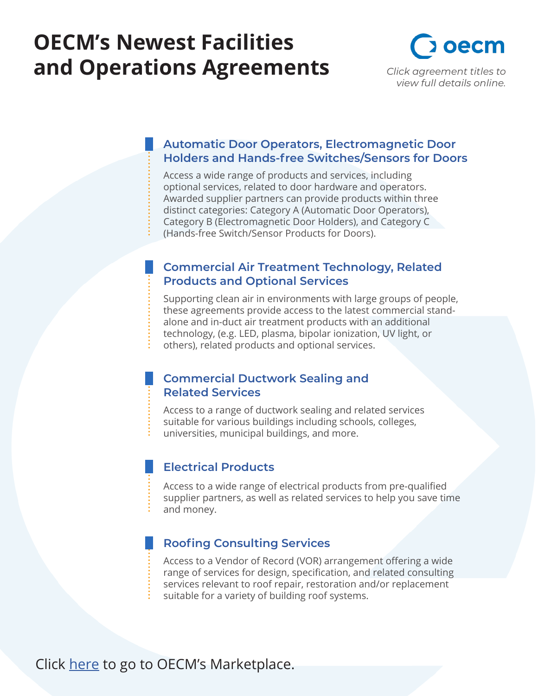# **OECM's Newest Facilities and Operations Agreements** *Click agreement titles to*



#### **Automatic Door Operators, Electromagnetic Door [Holders and Hands-free Switches/Sensors for Doors](https://oecm.ca/marketplace/automatic-door-operators-electromagnetic-door-holders-and-hands-free-switches-sensors-for-doors)**

Access a wide range of products and services, including optional services, related to door hardware and operators. Awarded supplier partners can provide products within three distinct categories: Category A (Automatic Door Operators), Category B (Electromagnetic Door Holders), and Category C (Hands-free Switch/Sensor Products for Doors).

#### **[Commercial Air Treatment Technology, Related](https://oecm.ca/marketplace/commercial-air-treatment-technology-related-products-and-optional-services) Products and Optional Services**

Supporting clean air in environments with large groups of people, these agreements provide access to the latest commercial standalone and in-duct air treatment products with an additional technology, (e.g. LED, plasma, bipolar ionization, UV light, or others), related products and optional services.

#### **[Commercial Ductwork Sealing and](https://oecm.ca/marketplace/commercial-ductwork-sealing-and-related-services) Related Services**

Access to a range of ductwork sealing and related services suitable for various buildings including schools, colleges, universities, municipal buildings, and more.

#### **[Electrical Products](https://oecm.ca/marketplace/electrical-products)**

Access to a wide range of electrical products from pre-qualified supplier partners, as well as related services to help you save time and money.

#### **[Roofing Consulting Services](https://oecm.ca/marketplace/roofing-consulting-services)**

Access to a Vendor of Record (VOR) arrangement offering a wide range of services for design, specification, and related consulting services relevant to roof repair, restoration and/or replacement suitable for a variety of building roof systems.

Click [here](https://oecm.ca/marketplace) to go to OECM's Marketplace.